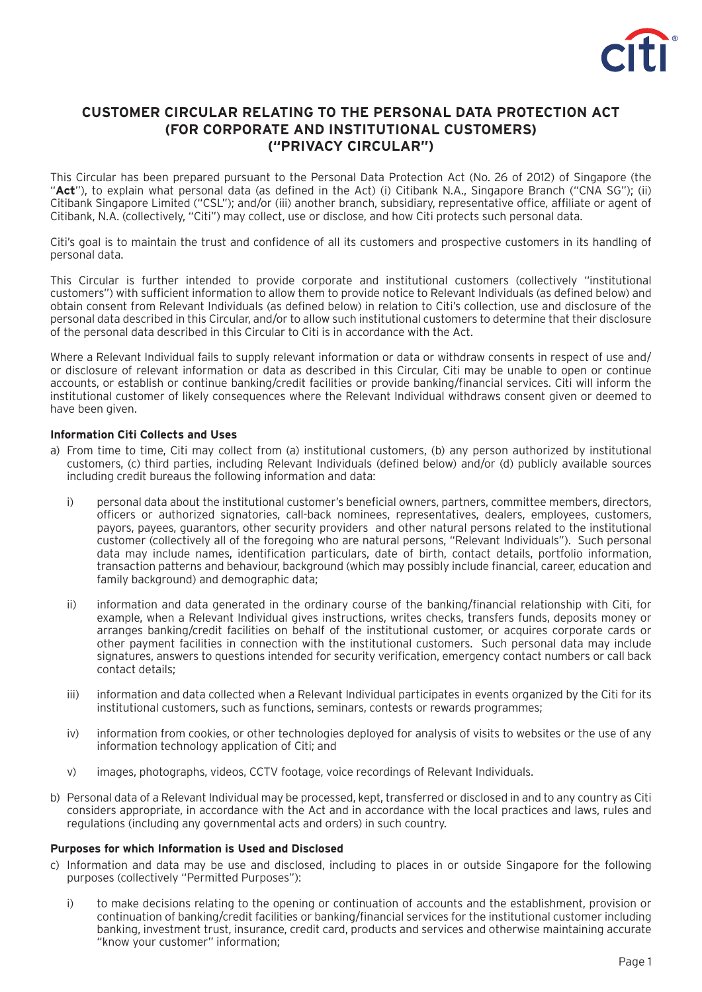

# **CUSTOMER CIRCULAR RELATING TO THE PERSONAL DATA PROTECTION ACT (FOR CORPORATE AND INSTITUTIONAL CUSTOMERS) ("PRIVACY CIRCULAR")**

This Circular has been prepared pursuant to the Personal Data Protection Act (No. 26 of 2012) of Singapore (the "Act"), to explain what personal data (as defined in the Act) (i) Citibank N.A., Singapore Branch ("CNA SG"); (ii) Citibank Singapore Limited ("CSL"); and/or (iii) another branch, subsidiary, representative office, affiliate or agent of Citibank, N.A. (collectively, "Citi") may collect, use or disclose, and how Citi protects such personal data.

Citi's goal is to maintain the trust and confidence of all its customers and prospective customers in its handling of personal data.

This Circular is further intended to provide corporate and institutional customers (collectively "institutional customers") with sufficient information to allow them to provide notice to Relevant Individuals (as defined below) and obtain consent from Relevant Individuals (as defined below) in relation to Citi's collection, use and disclosure of the personal data described in this Circular, and/or to allow such institutional customers to determine that their disclosure of the personal data described in this Circular to Citi is in accordance with the Act.

Where a Relevant Individual fails to supply relevant information or data or withdraw consents in respect of use and/ or disclosure of relevant information or data as described in this Circular, Citi may be unable to open or continue accounts, or establish or continue banking/credit facilities or provide banking/financial services. Citi will inform the institutional customer of likely consequences where the Relevant Individual withdraws consent given or deemed to have been given.

## **Information Citi Collects and Uses**

- a) From time to time, Citi may collect from (a) institutional customers, (b) any person authorized by institutional customers, (c) third parties, including Relevant Individuals (defined below) and/or (d) publicly available sources including credit bureaus the following information and data:
	- i) personal data about the institutional customer's beneficial owners, partners, committee members, directors, officers or authorized signatories, call-back nominees, representatives, dealers, employees, customers, payors, payees, guarantors, other security providers and other natural persons related to the institutional customer (collectively all of the foregoing who are natural persons, "Relevant Individuals"). Such personal data may include names, identification particulars, date of birth, contact details, portfolio information, transaction patterns and behaviour, background (which may possibly include financial, career, education and family background) and demographic data;
	- ii) information and data generated in the ordinary course of the banking/financial relationship with Citi, for example, when a Relevant Individual gives instructions, writes checks, transfers funds, deposits money or arranges banking/credit facilities on behalf of the institutional customer, or acquires corporate cards or other payment facilities in connection with the institutional customers. Such personal data may include signatures, answers to questions intended for security verification, emergency contact numbers or call back contact details;
	- iii) information and data collected when a Relevant Individual participates in events organized by the Citi for its institutional customers, such as functions, seminars, contests or rewards programmes;
	- iv) information from cookies, or other technologies deployed for analysis of visits to websites or the use of any information technology application of Citi; and
	- v) images, photographs, videos, CCTV footage, voice recordings of Relevant Individuals.
- b) Personal data of a Relevant Individual may be processed, kept, transferred or disclosed in and to any country as Citi considers appropriate, in accordance with the Act and in accordance with the local practices and laws, rules and regulations (including any governmental acts and orders) in such country.

### **Purposes for which Information is Used and Disclosed**

- c) Information and data may be use and disclosed, including to places in or outside Singapore for the following purposes (collectively "Permitted Purposes"):
	- i) to make decisions relating to the opening or continuation of accounts and the establishment, provision or continuation of banking/credit facilities or banking/financial services for the institutional customer including banking, investment trust, insurance, credit card, products and services and otherwise maintaining accurate "know your customer" information;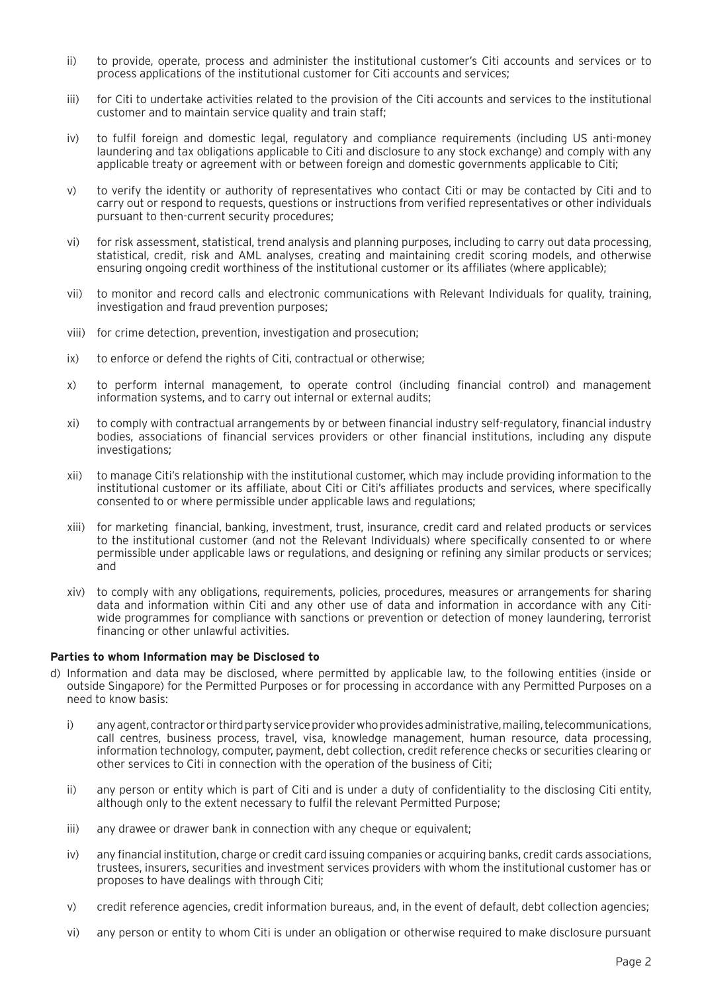- ii) to provide, operate, process and administer the institutional customer's Citi accounts and services or to process applications of the institutional customer for Citi accounts and services;
- iii) for Citi to undertake activities related to the provision of the Citi accounts and services to the institutional customer and to maintain service quality and train staff;
- iv) to fulfil foreign and domestic legal, regulatory and compliance requirements (including US anti-money laundering and tax obligations applicable to Citi and disclosure to any stock exchange) and comply with any applicable treaty or agreement with or between foreign and domestic governments applicable to Citi;
- v) to verify the identity or authority of representatives who contact Citi or may be contacted by Citi and to carry out or respond to requests, questions or instructions from verified representatives or other individuals pursuant to then-current security procedures;
- vi) for risk assessment, statistical, trend analysis and planning purposes, including to carry out data processing, statistical, credit, risk and AML analyses, creating and maintaining credit scoring models, and otherwise ensuring ongoing credit worthiness of the institutional customer or its affiliates (where applicable);
- vii) to monitor and record calls and electronic communications with Relevant Individuals for quality, training, investigation and fraud prevention purposes;
- viii) for crime detection, prevention, investigation and prosecution;
- ix) to enforce or defend the rights of Citi, contractual or otherwise;
- x) to perform internal management, to operate control (including financial control) and management information systems, and to carry out internal or external audits;
- xi) to comply with contractual arrangements by or between financial industry self-regulatory, financial industry bodies, associations of financial services providers or other financial institutions, including any dispute investigations:
- xii) to manage Citi's relationship with the institutional customer, which may include providing information to the institutional customer or its affiliate, about Citi or Citi's affiliates products and services, where specifically consented to or where permissible under applicable laws and regulations;
- xiii) for marketing financial, banking, investment, trust, insurance, credit card and related products or services to the institutional customer (and not the Relevant Individuals) where specifically consented to or where permissible under applicable laws or regulations, and designing or refining any similar products or services; and
- xiv) to comply with any obligations, requirements, policies, procedures, measures or arrangements for sharing data and information within Citi and any other use of data and information in accordance with any Citiwide programmes for compliance with sanctions or prevention or detection of money laundering, terrorist financing or other unlawful activities.

### **Parties to whom Information may be Disclosed to**

- d) Information and data may be disclosed, where permitted by applicable law, to the following entities (inside or outside Singapore) for the Permitted Purposes or for processing in accordance with any Permitted Purposes on a need to know basis:
	- i) any agent, contractor or third party service provider who provides administrative, mailing, telecommunications, call centres, business process, travel, visa, knowledge management, human resource, data processing, information technology, computer, payment, debt collection, credit reference checks or securities clearing or other services to Citi in connection with the operation of the business of Citi;
	- ii) any person or entity which is part of Citi and is under a duty of confidentiality to the disclosing Citi entity, although only to the extent necessary to fulfil the relevant Permitted Purpose;
	- iii) any drawee or drawer bank in connection with any cheque or equivalent;
	- iv) any financial institution, charge or credit card issuing companies or acquiring banks, credit cards associations, trustees, insurers, securities and investment services providers with whom the institutional customer has or proposes to have dealings with through Citi;
	- v) credit reference agencies, credit information bureaus, and, in the event of default, debt collection agencies;
	- vi) any person or entity to whom Citi is under an obligation or otherwise required to make disclosure pursuant